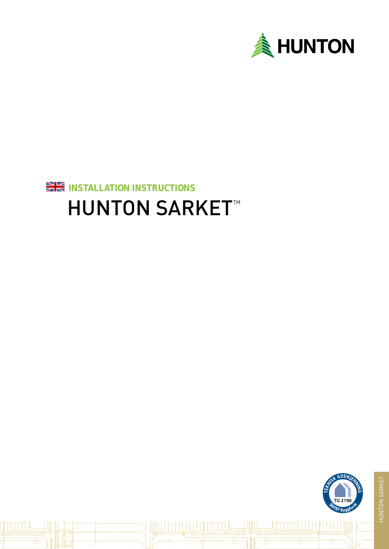



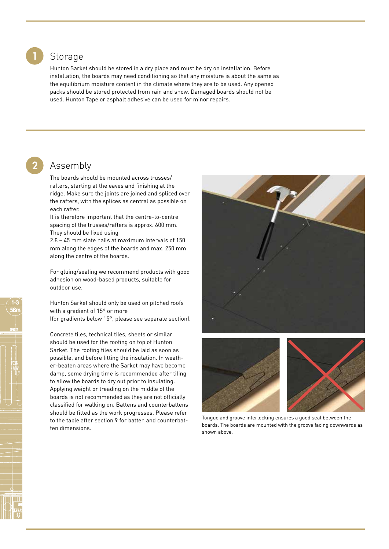### Storage

Hunton Sarket should be stored in a dry place and must be dry on installation. Before installation, the boards may need conditioning so that any moisture is about the same as the equilibrium moisture content in the climate where they are to be used. Any opened packs should be stored protected from rain and snow. Damaged boards should not be used. Hunton Tape or asphalt adhesive can be used for minor repairs.

# 2

1

## Assembly

The boards should be mounted across trusses/ rafters, starting at the eaves and finishing at the ridge. Make sure the joints are joined and spliced over the rafters, with the splices as central as possible on each rafter.

It is therefore important that the centre-to-centre spacing of the trusses/rafters is approx. 600 mm. They should be fixed using

2.8 – 45 mm slate nails at maximum intervals of 150 mm along the edges of the boards and max. 250 mm along the centre of the boards.

For gluing/sealing we recommend products with good adhesion on wood-based products, suitable for outdoor use.

Hunton Sarket should only be used on pitched roofs with a gradient of 15° or more (for gradients below 15°, please see separate section).

Concrete tiles, technical tiles, sheets or similar should be used for the roofing on top of Hunton Sarket. The roofing tiles should be laid as soon as possible, and before fitting the insulation. In weather-beaten areas where the Sarket may have become damp, some drying time is recommended after tiling to allow the boards to dry out prior to insulating. Applying weight or treading on the middle of the boards is not recommended as they are not officially classified for walking on. Battens and counterbattens should be fitted as the work progresses. Please refer to the table after section 9 for batten and counterbatten dimensions.





Tongue and groove interlocking ensures a good seal between the boards. The boards are mounted with the groove facing downwards as shown above.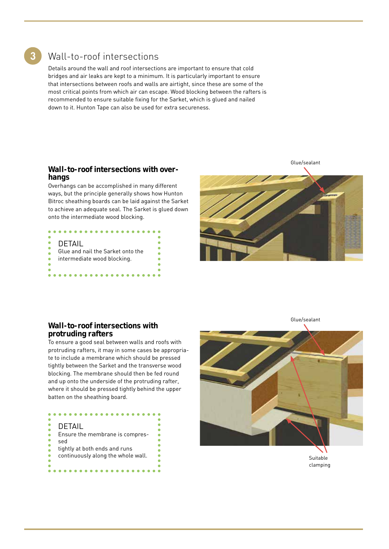3

## Wall-to-roof intersections

Details around the wall and roof intersections are important to ensure that cold bridges and air leaks are kept to a minimum. It is particularly important to ensure that intersections between roofs and walls are airtight, since these are some of the most critical points from which air can escape. Wood blocking between the rafters is recommended to ensure suitable fixing for the Sarket, which is glued and nailed down to it. Hunton Tape can also be used for extra secureness.

#### **Wall-to-roof intersections with overhangs**

Overhangs can be accomplished in many different ways, but the principle generally shows how Hunton Bitroc sheathing boards can be laid against the Sarket to achieve an adequate seal. The Sarket is glued down onto the intermediate wood blocking.

| DETAIL                            |  |
|-----------------------------------|--|
|                                   |  |
| Glue and nail the Sarket onto the |  |
| intermediate wood blocking.       |  |
|                                   |  |
|                                   |  |
|                                   |  |



#### **Wall-to-roof intersections with protruding rafters**

To ensure a good seal between walls and roofs with protruding rafters, it may in some cases be appropriate to include a membrane which should be pressed tightly between the Sarket and the transverse wood blocking. The membrane should then be fed round and up onto the underside of the protruding rafter, where it should be pressed tightly behind the upper batten on the sheathing board.

| DETAIL                             |
|------------------------------------|
| Ensure the membrane is compres-    |
| sed                                |
| tightly at both ends and runs      |
| continuously along the whole wall. |
|                                    |
|                                    |



Glue/sealant

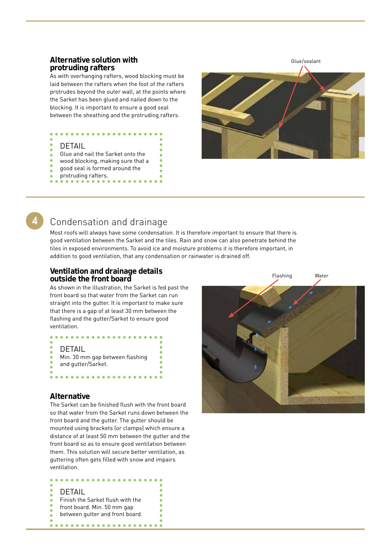#### **Alternative solution with protruding rafters**

As with overhanging rafters, wood blocking must be laid between the rafters when the foot of the rafters protrudes beyond the outer wall, at the points where the Sarket has been glued and nailed down to the blocking. It is important to ensure a good seal between the sheathing and the protruding rafters.

# DETAIL

- Glue and nail the Sarket onto the
- wood blocking, making sure that a good seal is formed around the
- 
- protruding rafters.



## Condensation and drainage

Most roofs will always have some condensation. It is therefore important to ensure that there is good ventilation between the Sarket and the tiles. Rain and snow can also penetrate behind the tiles in exposed environments. To avoid ice and moisture problems it is therefore important, in addition to good ventilation, that any condensation or rainwater is drained off.

#### **Ventilation and drainage details outside the front board**

As shown in the illustration, the Sarket is fed past the front board so that water from the Sarket can run straight into the gutter. It is important to make sure that there is a gap of at least 30 mm between the flashing and the gutter/Sarket to ensure good ventilation.

# DETAIL

Min. 30 mm gap between flashing and gutter/Sarket. 

#### **Alternative**

The Sarket can be finished flush with the front board so that water from the Sarket runs down between the front board and the gutter. The gutter should be mounted using brackets (or clamps) which ensure a distance of at least 50 mm between the gutter and the front board so as to ensure good ventilation between them. This solution will secure better ventilation, as guttering often gets filled with snow and impairs ventilation.

## DETAIL

Finish the Sarket flush with the front board. Min. 50 mm gap

. . . . . .

between gutter and front board.

. . . . . . . . . . . . . . . . . .

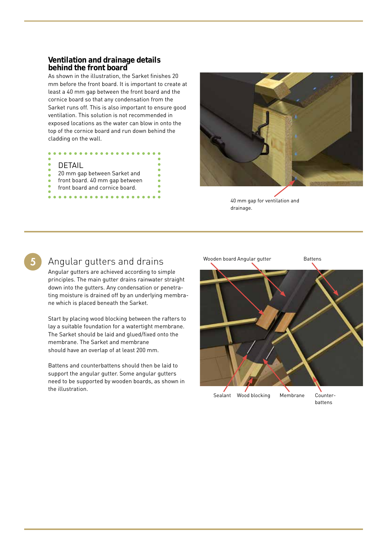#### **Ventilation and drainage details behind the front board**

As shown in the illustration, the Sarket finishes 20 mm before the front board. It is important to create at least a 40 mm gap between the front board and the cornice board so that any condensation from the Sarket runs off. This is also important to ensure good ventilation. This solution is not recommended in exposed locations as the water can blow in onto the top of the cornice board and run down behind the cladding on the wall.

### DETAIL

. . . . . . .

- 20 mm gap between Sarket and
- front board. 40 mm gap between

. . . . . . . . . . . . .

front board and cornice board.



40 mm gap for ventilation and drainage.

# 5

## Angular gutters and drains

Angular gutters are achieved according to simple principles. The main gutter drains rainwater straight down into the gutters. Any condensation or penetrating moisture is drained off by an underlying membrane which is placed beneath the Sarket.

Start by placing wood blocking between the rafters to lay a suitable foundation for a watertight membrane. The Sarket should be laid and glued/fixed onto the membrane. The Sarket and membrane should have an overlap of at least 200 mm.

Battens and counterbattens should then be laid to support the angular gutter. Some angular gutters need to be supported by wooden boards, as shown in the illustration.

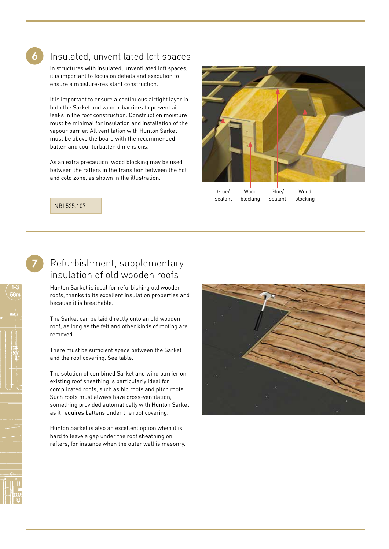

## Insulated, unventilated loft spaces

In structures with insulated, unventilated loft spaces, it is important to focus on details and execution to ensure a moisture-resistant construction.

It is important to ensure a continuous airtight layer in both the Sarket and vapour barriers to prevent air leaks in the roof construction. Construction moisture must be minimal for insulation and installation of the vapour barrier. All ventilation with Hunton Sarket must be above the board with the recommended batten and counterbatten dimensions.

As an extra precaution, wood blocking may be used between the rafters in the transition between the hot and cold zone, as shown in the illustration.



NBI 525.107

# Refurbishment, supplementary insulation of old wooden roofs

Hunton Sarket is ideal for refurbishing old wooden roofs, thanks to its excellent insulation properties and because it is breathable.

The Sarket can be laid directly onto an old wooden roof, as long as the felt and other kinds of roofing are removed.

There must be sufficient space between the Sarket and the roof covering. See table.

The solution of combined Sarket and wind barrier on existing roof sheathing is particularly ideal for complicated roofs, such as hip roofs and pitch roofs. Such roofs must always have cross-ventilation, something provided automatically with Hunton Sarket as it requires battens under the roof covering.

Hunton Sarket is also an excellent option when it is hard to leave a gap under the roof sheathing on rafters, for instance when the outer wall is masonry.



7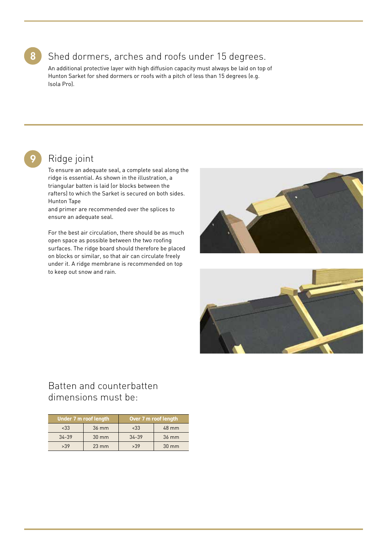# 8

# Shed dormers, arches and roofs under 15 degrees.

An additional protective layer with high diffusion capacity must always be laid on top of Hunton Sarket for shed dormers or roofs with a pitch of less than 15 degrees (e.g. Isola Pro).

# 9

# Ridge joint

To ensure an adequate seal, a complete seal along the ridge is essential. As shown in the illustration, a triangular batten is laid (or blocks between the rafters) to which the Sarket is secured on both sides. Hunton Tape

and primer are recommended over the splices to ensure an adequate seal.

For the best air circulation, there should be as much open space as possible between the two roofing surfaces. The ridge board should therefore be placed on blocks or similar, so that air can circulate freely under it. A ridge membrane is recommended on top to keep out snow and rain.





## Batten and counterbatten dimensions must be:

| Under 7 m roof length |                 | Over 7 m roof length |                 |
|-----------------------|-----------------|----------------------|-----------------|
| ~533                  | 36 mm           | $~<$ 33              | $48 \text{ mm}$ |
| $34 - 39$             | 30 mm           | $34 - 39$            | 36 mm           |
| >39                   | $23 \text{ mm}$ | >39                  | 30 mm           |